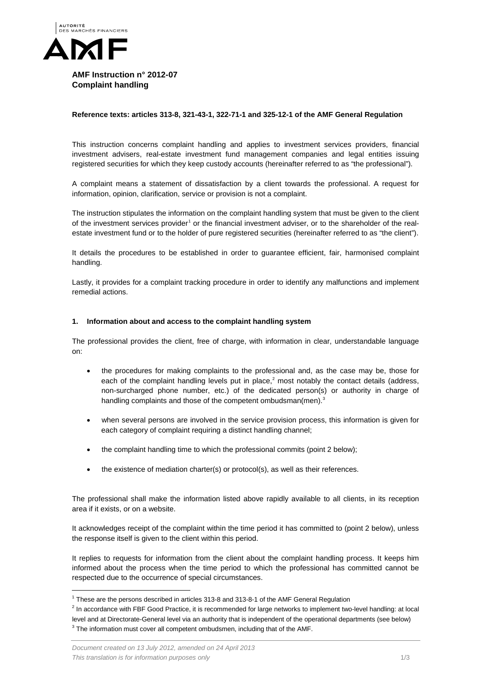

**AMF Instruction n° 2012-07 Complaint handling** 

## **Reference texts: articles 313-8, 321-43-1, 322-71-1 and 325-12-1 of the AMF General Regulation**

This instruction concerns complaint handling and applies to investment services providers, financial investment advisers, real-estate investment fund management companies and legal entities issuing registered securities for which they keep custody accounts (hereinafter referred to as "the professional").

A complaint means a statement of dissatisfaction by a client towards the professional. A request for information, opinion, clarification, service or provision is not a complaint.

The instruction stipulates the information on the complaint handling system that must be given to the client of the investment services provider<sup>[1](#page-0-0)</sup> or the financial investment adviser, or to the shareholder of the realestate investment fund or to the holder of pure registered securities (hereinafter referred to as "the client").

It details the procedures to be established in order to guarantee efficient, fair, harmonised complaint handling.

Lastly, it provides for a complaint tracking procedure in order to identify any malfunctions and implement remedial actions.

## **1. Information about and access to the complaint handling system**

The professional provides the client, free of charge, with information in clear, understandable language on:

- the procedures for making complaints to the professional and, as the case may be, those for each of the complaint handling levels put in place, $<sup>2</sup>$  $<sup>2</sup>$  $<sup>2</sup>$  most notably the contact details (address,</sup> non-surcharged phone number, etc.) of the dedicated person(s) or authority in charge of handling complaints and those of the competent ombudsman(men).<sup>[3](#page-0-2)</sup>
- when several persons are involved in the service provision process, this information is given for each category of complaint requiring a distinct handling channel;
- the complaint handling time to which the professional commits (point 2 below);
- the existence of mediation charter(s) or protocol(s), as well as their references.

The professional shall make the information listed above rapidly available to all clients, in its reception area if it exists, or on a website.

It acknowledges receipt of the complaint within the time period it has committed to (point 2 below), unless the response itself is given to the client within this period.

It replies to requests for information from the client about the complaint handling process. It keeps him informed about the process when the time period to which the professional has committed cannot be respected due to the occurrence of special circumstances.

<span id="page-0-3"></span><span id="page-0-0"></span><sup>&</sup>lt;sup>1</sup> These are the persons described in articles 313-8 and 313-8-1 of the AMF General Regulation

<span id="page-0-2"></span><span id="page-0-1"></span> $2$  In accordance with FBF Good Practice, it is recommended for large networks to implement two-level handling: at local level and at Directorate-General level via an authority that is independent of the operational departments (see below)  $3$  The information must cover all competent ombudsmen, including that of the AMF.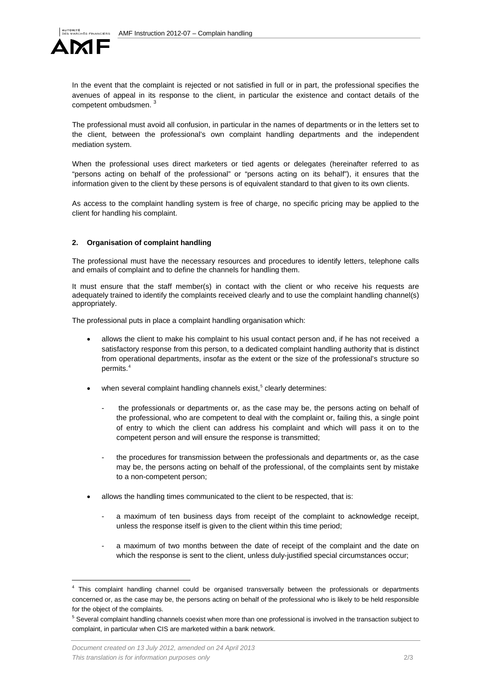

In the event that the complaint is rejected or not satisfied in full or in part, the professional specifies the avenues of appeal in its response to the client, in particular the existence and contact details of the competent ombudsmen. <sup>3</sup>

The professional must avoid all confusion, in particular in the names of departments or in the letters set to the client, between the professional's own complaint handling departments and the independent mediation system.

When the professional uses direct marketers or tied agents or delegates (hereinafter referred to as "persons acting on behalf of the professional" or "persons acting on its behalf"), it ensures that the information given to the client by these persons is of equivalent standard to that given to its own clients.

As access to the complaint handling system is free of charge, no specific pricing may be applied to the client for handling his complaint.

## **2. Organisation of complaint handling**

The professional must have the necessary resources and procedures to identify letters, telephone calls and emails of complaint and to define the channels for handling them.

It must ensure that the staff member(s) in contact with the client or who receive his requests are adequately trained to identify the complaints received clearly and to use the complaint handling channel(s) appropriately.

The professional puts in place a complaint handling organisation which:

- allows the client to make his complaint to his usual contact person and, if he has not received a satisfactory response from this person, to a dedicated complaint handling authority that is distinct from operational departments, insofar as the extent or the size of the professional's structure so permits.[4](#page-0-3)
- when several complaint handling channels exist,<sup>[5](#page-1-0)</sup> clearly determines:
	- the professionals or departments or, as the case may be, the persons acting on behalf of the professional, who are competent to deal with the complaint or, failing this, a single point of entry to which the client can address his complaint and which will pass it on to the competent person and will ensure the response is transmitted;
	- the procedures for transmission between the professionals and departments or, as the case may be, the persons acting on behalf of the professional, of the complaints sent by mistake to a non-competent person;
- allows the handling times communicated to the client to be respected, that is:
	- a maximum of ten business days from receipt of the complaint to acknowledge receipt. unless the response itself is given to the client within this time period;
	- a maximum of two months between the date of receipt of the complaint and the date on which the response is sent to the client, unless duly-justified special circumstances occur;

<span id="page-1-1"></span><sup>&</sup>lt;sup>4</sup> This complaint handling channel could be organised transversally between the professionals or departments concerned or, as the case may be, the persons acting on behalf of the professional who is likely to be held responsible for the object of the complaints.

<span id="page-1-0"></span><sup>&</sup>lt;sup>5</sup> Several complaint handling channels coexist when more than one professional is involved in the transaction subject to complaint, in particular when CIS are marketed within a bank network.